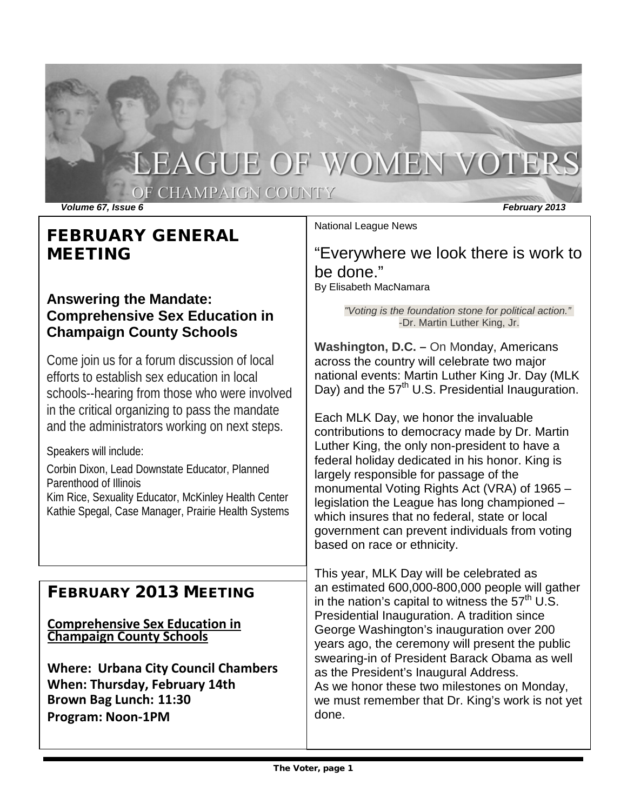# LEAGUE OF WOMEN VOTERS

OF CHAMPAIGN COUNTY

*Volume 67, Issue 6 February 2013*

National League News

# FEBRUARY GENERAL MEETING

# **Answering the Mandate: Comprehensive Sex Education in Champaign County Schools**

Come join us for a forum discussion of local efforts to establish sex education in local schools--hearing from those who were involved in the critical organizing to pass the mandate and the administrators working on next steps.

Speakers will include:

Corbin Dixon, Lead Downstate Educator, Planned Parenthood of Illinois

Kim Rice, Sexuality Educator, McKinley Health Center Kathie Spegal, Case Manager, Prairie Health Systems

# FEBRUARY 2013 MEETING

**Comprehensive Sex Education in Champaign County Schools**

**Where: Urbana City Council Chambers When: Thursday, February 14th Brown Bag Lunch: 11:30 Program: Noon-1PM**

"Everywhere we look there is work to be done."

By Elisabeth MacNamara

*"Voting is the foundation stone for political action."* -Dr. Martin Luther King, Jr.

**Washington, D.C. –** On Monday, Americans across the country will celebrate two major national events: Martin Luther King Jr. Day (MLK Day) and the 57<sup>th</sup> U.S. Presidential Inauguration.

[Each](http://www.lwv.org/blog/martin-luther-king-crusader-voting-rights) MLK Day, we honor the invaluable contributions to democracy made by Dr. Martin Luther King, the only [non-president](http://www.thekingcenter.org/about-dr-king) to have a federal holiday dedicated in his honor. King is largely responsible for passage of the monumental Voting Rights Act (VRA) of 1965 – legislation the League has long [championed](http://www.lwv.org/content/voting-rights) – which insures that no federal, state or local government can prevent individuals from voting based on race or ethnicity.

This year, MLK Day will be celebrated as an [estimated](http://abcnews.go.com/Politics/OTUS/inauguration-preparations-dc-high-gear-smaller-crowds/story?id=18215532) 600,000-800,000 people will gather in the nation's capital to witness the  $57<sup>th</sup> U.S.$ Presidential Inauguration. A tradition since George Washington's inauguration over 200 years ago, the ceremony will present the public swearing-in of President Barack Obama as well as the President's Inaugural Address. As we honor these two milestones on Monday, we must remember that Dr. [King's](http://www.lwv.org/blog/honoring-and-celebrating-passage-voting-rights-act) work is not yet [done.](http://www.lwv.org/blog/honoring-and-celebrating-passage-voting-rights-act)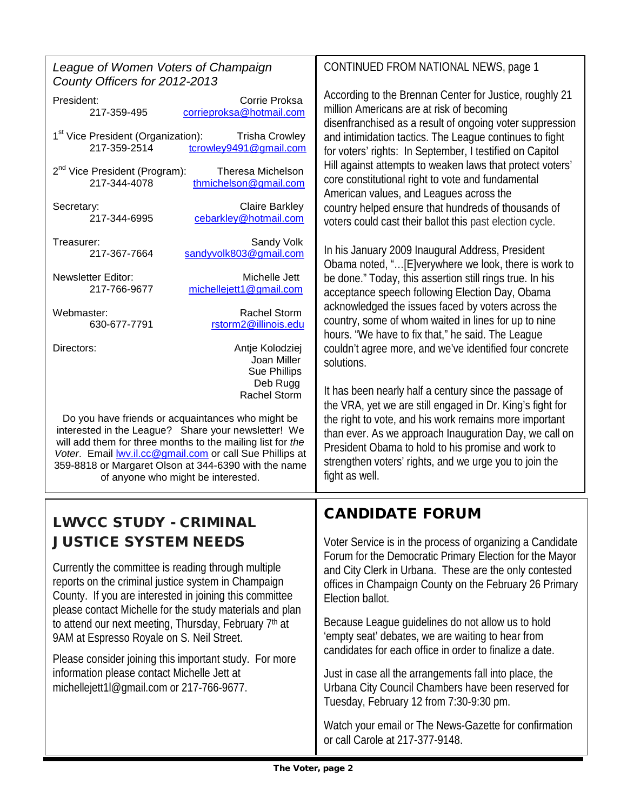| League of Women Voters of Champaign<br>County Officers for 2012-2013                                                                                                                                                                                                                                                                                                                                                                                                                          | CONTINUED FROM NATIONAL NEWS, page 1                                                                                                                                                                                                               |
|-----------------------------------------------------------------------------------------------------------------------------------------------------------------------------------------------------------------------------------------------------------------------------------------------------------------------------------------------------------------------------------------------------------------------------------------------------------------------------------------------|----------------------------------------------------------------------------------------------------------------------------------------------------------------------------------------------------------------------------------------------------|
| Corrie Proksa<br>President:<br>217-359-495<br>corrieproksa@hotmail.com                                                                                                                                                                                                                                                                                                                                                                                                                        | According to the Brennan Center for Justice, roughly 21<br>million Americans are at risk of becoming<br>disenfranchised as a result of ongoing voter suppression                                                                                   |
| 1 <sup>st</sup> Vice President (Organization):<br><b>Trisha Crowley</b><br>217-359-2514<br>tcrowley9491@gmail.com                                                                                                                                                                                                                                                                                                                                                                             | and intimidation tactics. The League continues to fight<br>for voters' rights: In September, I testified on Capitol                                                                                                                                |
| 2 <sup>nd</sup> Vice President (Program):<br>Theresa Michelson<br>217-344-4078<br>thmichelson@gmail.com                                                                                                                                                                                                                                                                                                                                                                                       | Hill against attempts to weaken laws that protect voters'<br>core constitutional right to vote and fundamental<br>American values, and Leagues across the                                                                                          |
| <b>Claire Barkley</b><br>Secretary:<br>cebarkley@hotmail.com<br>217-344-6995                                                                                                                                                                                                                                                                                                                                                                                                                  | country helped ensure that hundreds of thousands of<br>voters could cast their ballot this past election cycle.                                                                                                                                    |
| Sandy Volk<br>Treasurer:<br>sandyvolk803@gmail.com<br>217-367-7664                                                                                                                                                                                                                                                                                                                                                                                                                            | In his January 2009 Inaugural Address, President<br>Obama noted, "[E]verywhere we look, there is work to                                                                                                                                           |
| <b>Newsletter Editor:</b><br>Michelle Jett<br>michellejett1@gmail.com<br>217-766-9677                                                                                                                                                                                                                                                                                                                                                                                                         | be done." Today, this assertion still rings true. In his<br>acceptance speech following Election Day, Obama                                                                                                                                        |
| <b>Rachel Storm</b><br>Webmaster:<br>630-677-7791<br>rstorm2@illinois.edu                                                                                                                                                                                                                                                                                                                                                                                                                     | acknowledged the issues faced by voters across the<br>country, some of whom waited in lines for up to nine<br>hours. "We have to fix that," he said. The League                                                                                    |
| Antje Kolodziej<br>Directors:<br>Joan Miller<br>Sue Phillips                                                                                                                                                                                                                                                                                                                                                                                                                                  | couldn't agree more, and we've identified four concrete<br>solutions.                                                                                                                                                                              |
| Deb Rugg<br>Rachel Storm                                                                                                                                                                                                                                                                                                                                                                                                                                                                      | It has been nearly half a century since the passage of<br>the VRA, yet we are still engaged in Dr. King's fight for                                                                                                                                |
| Do you have friends or acquaintances who might be<br>interested in the League? Share your newsletter! We<br>will add them for three months to the mailing list for the<br>Voter. Email <b>WV.il.cc@gmail.com</b> or call Sue Phillips at<br>359-8818 or Margaret Olson at 344-6390 with the name<br>of anyone who might be interested.                                                                                                                                                        | the right to vote, and his work remains more important<br>than ever. As we approach Inauguration Day, we call on<br>President Obama to hold to his promise and work to<br>strengthen voters' rights, and we urge you to join the<br>fight as well. |
| <b>LWVCC STUDY - CRIMINAL</b>                                                                                                                                                                                                                                                                                                                                                                                                                                                                 | <b>CANDIDATE FORUM</b>                                                                                                                                                                                                                             |
| <b>JUSTICE SYSTEM NEEDS</b>                                                                                                                                                                                                                                                                                                                                                                                                                                                                   | Voter Service is in the process of organizing a Candidate                                                                                                                                                                                          |
| Currently the committee is reading through multiple<br>reports on the criminal justice system in Champaign<br>County. If you are interested in joining this committee<br>please contact Michelle for the study materials and plan<br>to attend our next meeting, Thursday, February 7th at<br>9AM at Espresso Royale on S. Neil Street.<br>Please consider joining this important study. For more<br>information please contact Michelle Jett at<br>michellejett1l@gmail.com or 217-766-9677. | Forum for the Democratic Primary Election for the Mayor<br>and City Clerk in Urbana. These are the only contested<br>offices in Champaign County on the February 26 Primary<br>Election ballot.                                                    |
|                                                                                                                                                                                                                                                                                                                                                                                                                                                                                               | Because League guidelines do not allow us to hold<br>'empty seat' debates, we are waiting to hear from<br>candidates for each office in order to finalize a date.                                                                                  |
|                                                                                                                                                                                                                                                                                                                                                                                                                                                                                               | Just in case all the arrangements fall into place, the<br>Urbana City Council Chambers have been reserved for<br>Tuesday, February 12 from 7:30-9:30 pm.                                                                                           |
|                                                                                                                                                                                                                                                                                                                                                                                                                                                                                               | Watch your email or The News-Gazette for confirmation<br>or call Carole at 217-377-9148.                                                                                                                                                           |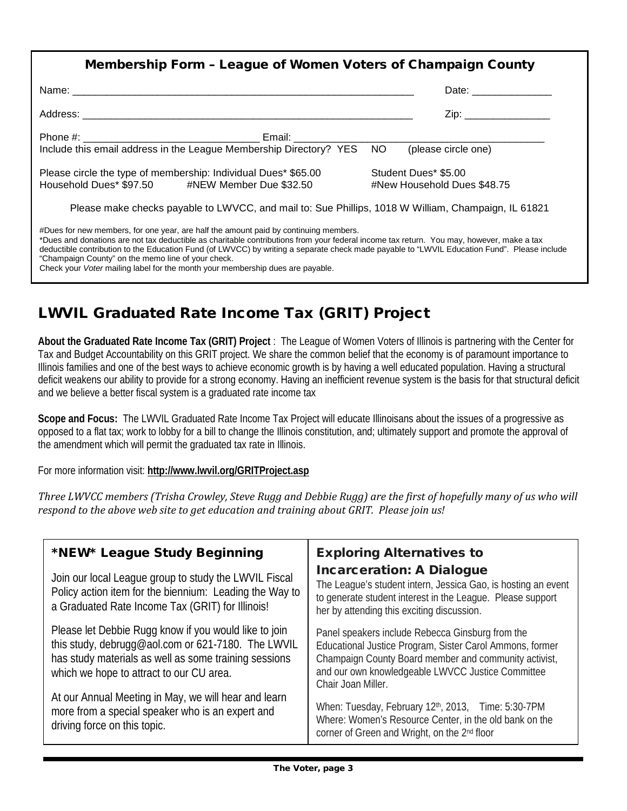| <b>Membership Form - League of Women Voters of Champaign County</b>                                                                                                                                                                                                                                                                                                                                                                                                                                                     |                                                                                                                                                                                                                                |  |
|-------------------------------------------------------------------------------------------------------------------------------------------------------------------------------------------------------------------------------------------------------------------------------------------------------------------------------------------------------------------------------------------------------------------------------------------------------------------------------------------------------------------------|--------------------------------------------------------------------------------------------------------------------------------------------------------------------------------------------------------------------------------|--|
|                                                                                                                                                                                                                                                                                                                                                                                                                                                                                                                         | Date: the contract of the contract of the contract of the contract of the contract of the contract of the contract of the contract of the contract of the contract of the contract of the contract of the contract of the cont |  |
|                                                                                                                                                                                                                                                                                                                                                                                                                                                                                                                         | Zip: __________________                                                                                                                                                                                                        |  |
|                                                                                                                                                                                                                                                                                                                                                                                                                                                                                                                         |                                                                                                                                                                                                                                |  |
|                                                                                                                                                                                                                                                                                                                                                                                                                                                                                                                         |                                                                                                                                                                                                                                |  |
|                                                                                                                                                                                                                                                                                                                                                                                                                                                                                                                         |                                                                                                                                                                                                                                |  |
| Please circle the type of membership: Individual Dues* \$65.00<br>Household Dues* \$97.50 #NEW Member Due \$32.50                                                                                                                                                                                                                                                                                                                                                                                                       | Student Dues* \$5.00<br>#New Household Dues \$48.75                                                                                                                                                                            |  |
| Please make checks payable to LWVCC, and mail to: Sue Phillips, 1018 W William, Champaign, IL 61821                                                                                                                                                                                                                                                                                                                                                                                                                     |                                                                                                                                                                                                                                |  |
| #Dues for new members, for one year, are half the amount paid by continuing members.<br>*Dues and donations are not tax deductible as charitable contributions from your federal income tax return. You may, however, make a tax<br>deductible contribution to the Education Fund (of LWVCC) by writing a separate check made payable to "LWVIL Education Fund". Please include<br>"Champaign County" on the memo line of your check.<br>Check your Voter mailing label for the month your membership dues are payable. |                                                                                                                                                                                                                                |  |

# LWVIL Graduated Rate Income Tax (GRIT) Project

**About the Graduated Rate Income Tax (GRIT) Project** : The League of Women Voters of Illinois is partnering with the Center for Tax and Budget Accountability on this GRIT project. We share the common belief that the economy is of paramount importance to Illinois families and one of the best ways to achieve economic growth is by having a well educated population. Having a structural deficit weakens our ability to provide for a strong economy. Having an inefficient revenue system is the basis for that structural deficit and we believe a better fiscal system is a graduated rate income tax

**Scope and Focus:** The LWVIL Graduated Rate Income Tax Project will educate Illinoisans about the issues of a progressive as opposed to a flat tax; work to lobby for a bill to change the Illinois constitution, and; ultimately support and promote the approval of the amendment which will permit the graduated tax rate in Illinois.

For more information visit: **<http://www.lwvil.org/GRITProject.asp>**

*Three LWVCC members (Trisha Crowley, Steve Rugg and Debbie Rugg) are the first of hopefully many of us who will respond to the above web site to get education and training about GRIT. Please join us!*

| *NEW* League Study Beginning<br>Join our local League group to study the LWVIL Fiscal<br>Policy action item for the biennium: Leading the Way to                                                                 | <b>Exploring Alternatives to</b><br><b>Incarceration: A Dialogue</b><br>The League's student intern, Jessica Gao, is hosting an event<br>to generate student interest in the League. Please support                                              |
|------------------------------------------------------------------------------------------------------------------------------------------------------------------------------------------------------------------|--------------------------------------------------------------------------------------------------------------------------------------------------------------------------------------------------------------------------------------------------|
| a Graduated Rate Income Tax (GRIT) for Illinois!                                                                                                                                                                 | her by attending this exciting discussion.                                                                                                                                                                                                       |
| Please let Debbie Rugg know if you would like to join<br>this study, debrugg@aol.com or 621-7180. The LWVIL<br>has study materials as well as some training sessions<br>which we hope to attract to our CU area. | Panel speakers include Rebecca Ginsburg from the<br>Educational Justice Program, Sister Carol Ammons, former<br>Champaign County Board member and community activist,<br>and our own knowledgeable LWVCC Justice Committee<br>Chair Joan Miller. |
| At our Annual Meeting in May, we will hear and learn<br>more from a special speaker who is an expert and<br>driving force on this topic.                                                                         | When: Tuesday, February 12 <sup>th</sup> , 2013, Time: 5:30-7PM<br>Where: Women's Resource Center, in the old bank on the<br>corner of Green and Wright, on the 2 <sup>nd</sup> floor                                                            |